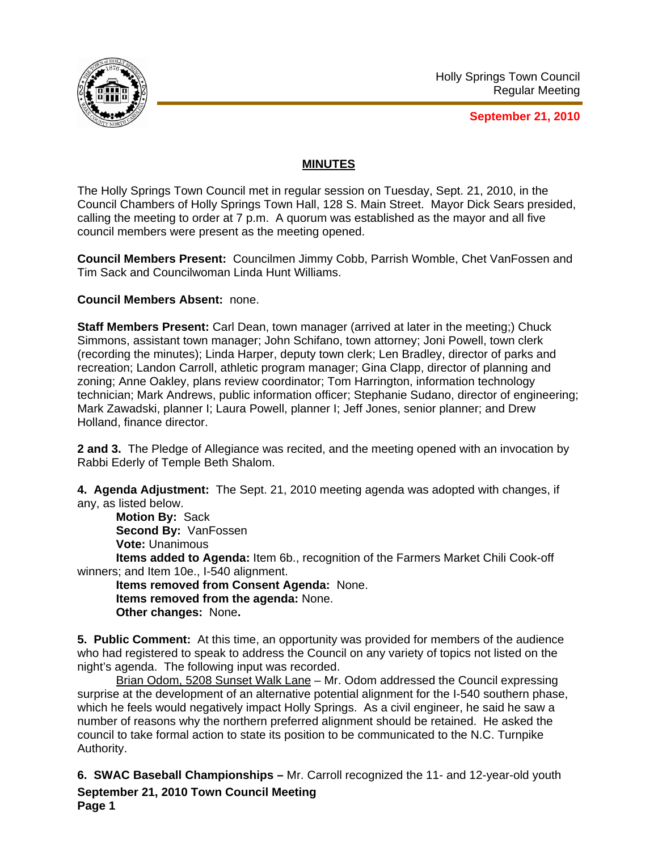

**September 21, 2010**

## **MINUTES**

The Holly Springs Town Council met in regular session on Tuesday, Sept. 21, 2010, in the Council Chambers of Holly Springs Town Hall, 128 S. Main Street. Mayor Dick Sears presided, calling the meeting to order at 7 p.m. A quorum was established as the mayor and all five council members were present as the meeting opened.

**Council Members Present:** Councilmen Jimmy Cobb, Parrish Womble, Chet VanFossen and Tim Sack and Councilwoman Linda Hunt Williams.

**Council Members Absent:** none.

**Staff Members Present:** Carl Dean, town manager (arrived at later in the meeting;) Chuck Simmons, assistant town manager; John Schifano, town attorney; Joni Powell, town clerk (recording the minutes); Linda Harper, deputy town clerk; Len Bradley, director of parks and recreation; Landon Carroll, athletic program manager; Gina Clapp, director of planning and zoning; Anne Oakley, plans review coordinator; Tom Harrington, information technology technician; Mark Andrews, public information officer; Stephanie Sudano, director of engineering; Mark Zawadski, planner I; Laura Powell, planner I; Jeff Jones, senior planner; and Drew Holland, finance director.

**2 and 3.** The Pledge of Allegiance was recited, and the meeting opened with an invocation by Rabbi Ederly of Temple Beth Shalom.

**4. Agenda Adjustment:** The Sept. 21, 2010 meeting agenda was adopted with changes, if any, as listed below.

**Motion By:** Sack **Second By:** VanFossen **Vote:** Unanimous

**Items added to Agenda:** Item 6b., recognition of the Farmers Market Chili Cook-off winners; and Item 10e., I-540 alignment.

**Items removed from Consent Agenda:** None. **Items removed from the agenda:** None. **Other changes:** None**.** 

**5. Public Comment:** At this time, an opportunity was provided for members of the audience who had registered to speak to address the Council on any variety of topics not listed on the night's agenda. The following input was recorded.

 Brian Odom, 5208 Sunset Walk Lane – Mr. Odom addressed the Council expressing surprise at the development of an alternative potential alignment for the I-540 southern phase, which he feels would negatively impact Holly Springs. As a civil engineer, he said he saw a number of reasons why the northern preferred alignment should be retained. He asked the council to take formal action to state its position to be communicated to the N.C. Turnpike Authority.

**September 21, 2010 Town Council Meeting Page 1 6. SWAC Baseball Championships –** Mr. Carroll recognized the 11- and 12-year-old youth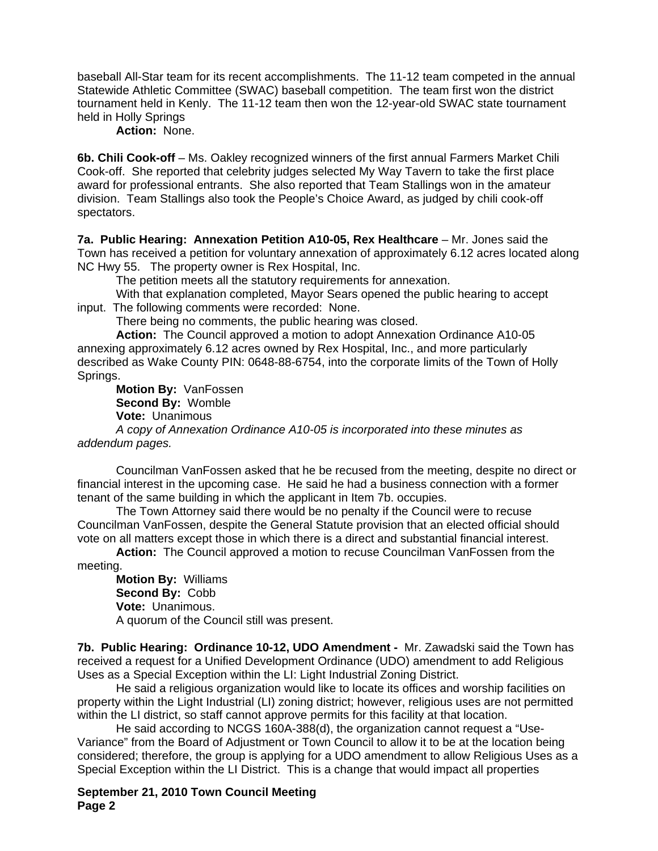baseball All-Star team for its recent accomplishments. The 11-12 team competed in the annual Statewide Athletic Committee (SWAC) baseball competition. The team first won the district tournament held in Kenly. The 11-12 team then won the 12-year-old SWAC state tournament held in Holly Springs

**Action:** None.

**6b. Chili Cook-off** – Ms. Oakley recognized winners of the first annual Farmers Market Chili Cook-off. She reported that celebrity judges selected My Way Tavern to take the first place award for professional entrants. She also reported that Team Stallings won in the amateur division. Team Stallings also took the People's Choice Award, as judged by chili cook-off spectators.

**7a. Public Hearing: Annexation Petition A10-05, Rex Healthcare** – Mr. Jones said the Town has received a petition for voluntary annexation of approximately 6.12 acres located along NC Hwy 55. The property owner is Rex Hospital, Inc.

The petition meets all the statutory requirements for annexation.

 With that explanation completed, Mayor Sears opened the public hearing to accept input. The following comments were recorded: None.

There being no comments, the public hearing was closed.

**Action:** The Council approved a motion to adopt Annexation Ordinance A10-05 annexing approximately 6.12 acres owned by Rex Hospital, Inc., and more particularly described as Wake County PIN: 0648-88-6754, into the corporate limits of the Town of Holly Springs.

**Motion By:** VanFossen **Second By:** Womble **Vote:** Unanimous

*A copy of Annexation Ordinance A10-05 is incorporated into these minutes as addendum pages.* 

Councilman VanFossen asked that he be recused from the meeting, despite no direct or financial interest in the upcoming case. He said he had a business connection with a former tenant of the same building in which the applicant in Item 7b. occupies.

The Town Attorney said there would be no penalty if the Council were to recuse Councilman VanFossen, despite the General Statute provision that an elected official should vote on all matters except those in which there is a direct and substantial financial interest.

**Action:** The Council approved a motion to recuse Councilman VanFossen from the meeting.

**Motion By:** Williams **Second By:** Cobb **Vote:** Unanimous. A quorum of the Council still was present.

**7b. Public Hearing: Ordinance 10-12, UDO Amendment -** Mr. Zawadski said the Town has received a request for a Unified Development Ordinance (UDO) amendment to add Religious Uses as a Special Exception within the LI: Light Industrial Zoning District.

 He said a religious organization would like to locate its offices and worship facilities on property within the Light Industrial (LI) zoning district; however, religious uses are not permitted within the LI district, so staff cannot approve permits for this facility at that location.

 He said according to NCGS 160A-388(d), the organization cannot request a "Use-Variance" from the Board of Adjustment or Town Council to allow it to be at the location being considered; therefore, the group is applying for a UDO amendment to allow Religious Uses as a Special Exception within the LI District. This is a change that would impact all properties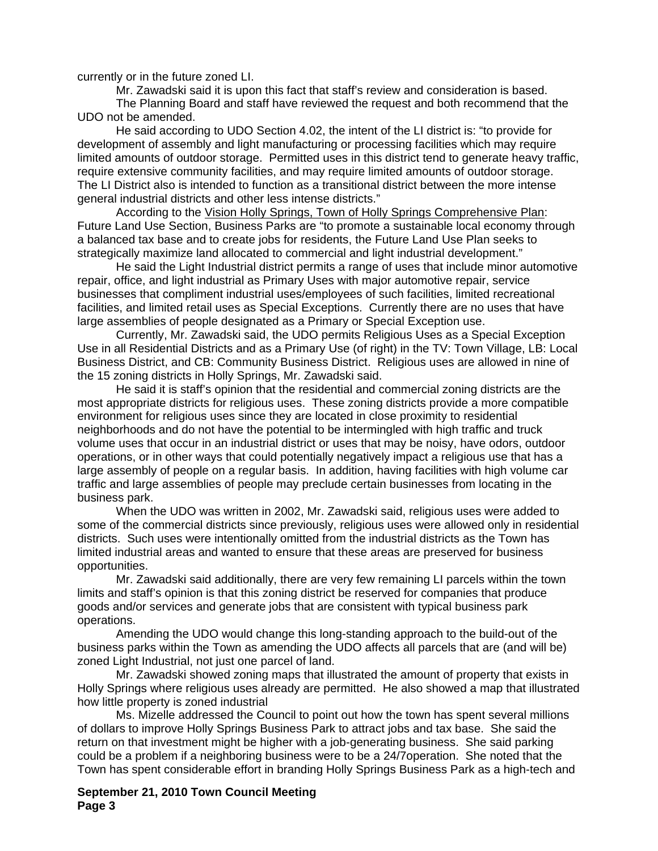currently or in the future zoned LI.

Mr. Zawadski said it is upon this fact that staff's review and consideration is based.

 The Planning Board and staff have reviewed the request and both recommend that the UDO not be amended.

 He said according to UDO Section 4.02, the intent of the LI district is: "to provide for development of assembly and light manufacturing or processing facilities which may require limited amounts of outdoor storage. Permitted uses in this district tend to generate heavy traffic, require extensive community facilities, and may require limited amounts of outdoor storage. The LI District also is intended to function as a transitional district between the more intense general industrial districts and other less intense districts."

 According to the Vision Holly Springs, Town of Holly Springs Comprehensive Plan: Future Land Use Section, Business Parks are "to promote a sustainable local economy through a balanced tax base and to create jobs for residents, the Future Land Use Plan seeks to strategically maximize land allocated to commercial and light industrial development."

 He said the Light Industrial district permits a range of uses that include minor automotive repair, office, and light industrial as Primary Uses with major automotive repair, service businesses that compliment industrial uses/employees of such facilities, limited recreational facilities, and limited retail uses as Special Exceptions. Currently there are no uses that have large assemblies of people designated as a Primary or Special Exception use.

 Currently, Mr. Zawadski said, the UDO permits Religious Uses as a Special Exception Use in all Residential Districts and as a Primary Use (of right) in the TV: Town Village, LB: Local Business District, and CB: Community Business District. Religious uses are allowed in nine of the 15 zoning districts in Holly Springs, Mr. Zawadski said.

 He said it is staff's opinion that the residential and commercial zoning districts are the most appropriate districts for religious uses. These zoning districts provide a more compatible environment for religious uses since they are located in close proximity to residential neighborhoods and do not have the potential to be intermingled with high traffic and truck volume uses that occur in an industrial district or uses that may be noisy, have odors, outdoor operations, or in other ways that could potentially negatively impact a religious use that has a large assembly of people on a regular basis. In addition, having facilities with high volume car traffic and large assemblies of people may preclude certain businesses from locating in the business park.

 When the UDO was written in 2002, Mr. Zawadski said, religious uses were added to some of the commercial districts since previously, religious uses were allowed only in residential districts. Such uses were intentionally omitted from the industrial districts as the Town has limited industrial areas and wanted to ensure that these areas are preserved for business opportunities.

 Mr. Zawadski said additionally, there are very few remaining LI parcels within the town limits and staff's opinion is that this zoning district be reserved for companies that produce goods and/or services and generate jobs that are consistent with typical business park operations.

 Amending the UDO would change this long-standing approach to the build-out of the business parks within the Town as amending the UDO affects all parcels that are (and will be) zoned Light Industrial, not just one parcel of land.

Mr. Zawadski showed zoning maps that illustrated the amount of property that exists in Holly Springs where religious uses already are permitted. He also showed a map that illustrated how little property is zoned industrial

Ms. Mizelle addressed the Council to point out how the town has spent several millions of dollars to improve Holly Springs Business Park to attract jobs and tax base. She said the return on that investment might be higher with a job-generating business. She said parking could be a problem if a neighboring business were to be a 24/7operation. She noted that the Town has spent considerable effort in branding Holly Springs Business Park as a high-tech and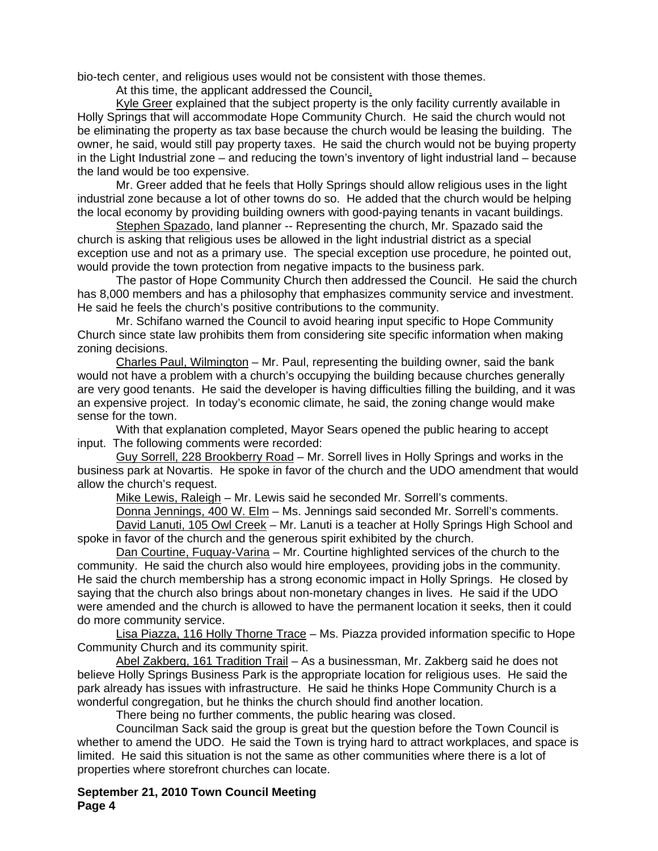bio-tech center, and religious uses would not be consistent with those themes.

At this time, the applicant addressed the Council.

 Kyle Greer explained that the subject property is the only facility currently available in Holly Springs that will accommodate Hope Community Church. He said the church would not be eliminating the property as tax base because the church would be leasing the building. The owner, he said, would still pay property taxes. He said the church would not be buying property in the Light Industrial zone – and reducing the town's inventory of light industrial land – because the land would be too expensive.

 Mr. Greer added that he feels that Holly Springs should allow religious uses in the light industrial zone because a lot of other towns do so. He added that the church would be helping the local economy by providing building owners with good-paying tenants in vacant buildings.

 Stephen Spazado, land planner -- Representing the church, Mr. Spazado said the church is asking that religious uses be allowed in the light industrial district as a special exception use and not as a primary use. The special exception use procedure, he pointed out, would provide the town protection from negative impacts to the business park.

 The pastor of Hope Community Church then addressed the Council. He said the church has 8,000 members and has a philosophy that emphasizes community service and investment. He said he feels the church's positive contributions to the community.

 Mr. Schifano warned the Council to avoid hearing input specific to Hope Community Church since state law prohibits them from considering site specific information when making zoning decisions.

 Charles Paul, Wilmington – Mr. Paul, representing the building owner, said the bank would not have a problem with a church's occupying the building because churches generally are very good tenants. He said the developer is having difficulties filling the building, and it was an expensive project. In today's economic climate, he said, the zoning change would make sense for the town.

With that explanation completed, Mayor Sears opened the public hearing to accept input. The following comments were recorded:

Guy Sorrell, 228 Brookberry Road – Mr. Sorrell lives in Holly Springs and works in the business park at Novartis. He spoke in favor of the church and the UDO amendment that would allow the church's request.

Mike Lewis, Raleigh – Mr. Lewis said he seconded Mr. Sorrell's comments.

Donna Jennings, 400 W. Elm – Ms. Jennings said seconded Mr. Sorrell's comments.

David Lanuti, 105 Owl Creek – Mr. Lanuti is a teacher at Holly Springs High School and spoke in favor of the church and the generous spirit exhibited by the church.

Dan Courtine, Fuquay-Varina – Mr. Courtine highlighted services of the church to the community. He said the church also would hire employees, providing jobs in the community. He said the church membership has a strong economic impact in Holly Springs. He closed by saying that the church also brings about non-monetary changes in lives. He said if the UDO were amended and the church is allowed to have the permanent location it seeks, then it could do more community service.

Lisa Piazza, 116 Holly Thorne Trace – Ms. Piazza provided information specific to Hope Community Church and its community spirit.

Abel Zakberg, 161 Tradition Trail – As a businessman, Mr. Zakberg said he does not believe Holly Springs Business Park is the appropriate location for religious uses. He said the park already has issues with infrastructure. He said he thinks Hope Community Church is a wonderful congregation, but he thinks the church should find another location.

There being no further comments, the public hearing was closed.

Councilman Sack said the group is great but the question before the Town Council is whether to amend the UDO. He said the Town is trying hard to attract workplaces, and space is limited. He said this situation is not the same as other communities where there is a lot of properties where storefront churches can locate.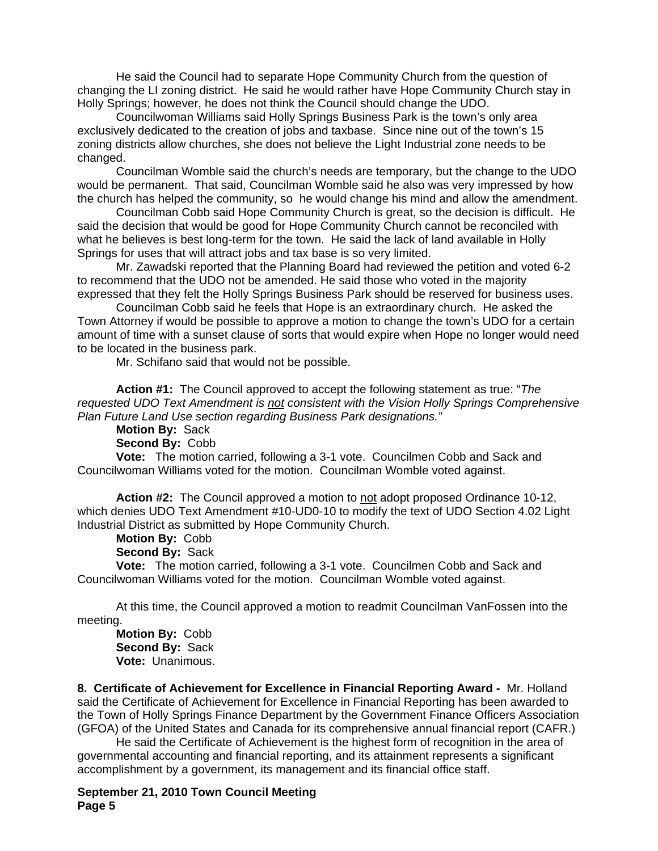He said the Council had to separate Hope Community Church from the question of changing the LI zoning district. He said he would rather have Hope Community Church stay in Holly Springs; however, he does not think the Council should change the UDO.

Councilwoman Williams said Holly Springs Business Park is the town's only area exclusively dedicated to the creation of jobs and taxbase. Since nine out of the town's 15 zoning districts allow churches, she does not believe the Light Industrial zone needs to be changed.

Councilman Womble said the church's needs are temporary, but the change to the UDO would be permanent. That said, Councilman Womble said he also was very impressed by how the church has helped the community, so he would change his mind and allow the amendment.

Councilman Cobb said Hope Community Church is great, so the decision is difficult. He said the decision that would be good for Hope Community Church cannot be reconciled with what he believes is best long-term for the town. He said the lack of land available in Holly Springs for uses that will attract jobs and tax base is so very limited.

Mr. Zawadski reported that the Planning Board had reviewed the petition and voted 6-2 to recommend that the UDO not be amended. He said those who voted in the majority expressed that they felt the Holly Springs Business Park should be reserved for business uses.

Councilman Cobb said he feels that Hope is an extraordinary church. He asked the Town Attorney if would be possible to approve a motion to change the town's UDO for a certain amount of time with a sunset clause of sorts that would expire when Hope no longer would need to be located in the business park.

Mr. Schifano said that would not be possible.

**Action #1:** The Council approved to accept the following statement as true: "*The requested UDO Text Amendment is not consistent with the Vision Holly Springs Comprehensive Plan Future Land Use section regarding Business Park designations."* 

**Motion By:** Sack

**Second By:** Cobb

**Vote:** The motion carried, following a 3-1 vote. Councilmen Cobb and Sack and Councilwoman Williams voted for the motion. Councilman Womble voted against.

 **Action #2:** The Council approved a motion to not adopt proposed Ordinance 10-12, which denies UDO Text Amendment #10-UD0-10 to modify the text of UDO Section 4.02 Light Industrial District as submitted by Hope Community Church.

**Motion By:** Cobb

**Second By:** Sack

**Vote:** The motion carried, following a 3-1 vote. Councilmen Cobb and Sack and Councilwoman Williams voted for the motion. Councilman Womble voted against.

 At this time, the Council approved a motion to readmit Councilman VanFossen into the meeting.

**Motion By:** Cobb **Second By:** Sack **Vote:** Unanimous.

**8. Certificate of Achievement for Excellence in Financial Reporting Award -** Mr. Holland said the Certificate of Achievement for Excellence in Financial Reporting has been awarded to the Town of Holly Springs Finance Department by the Government Finance Officers Association (GFOA) of the United States and Canada for its comprehensive annual financial report (CAFR.)

 He said the Certificate of Achievement is the highest form of recognition in the area of governmental accounting and financial reporting, and its attainment represents a significant accomplishment by a government, its management and its financial office staff.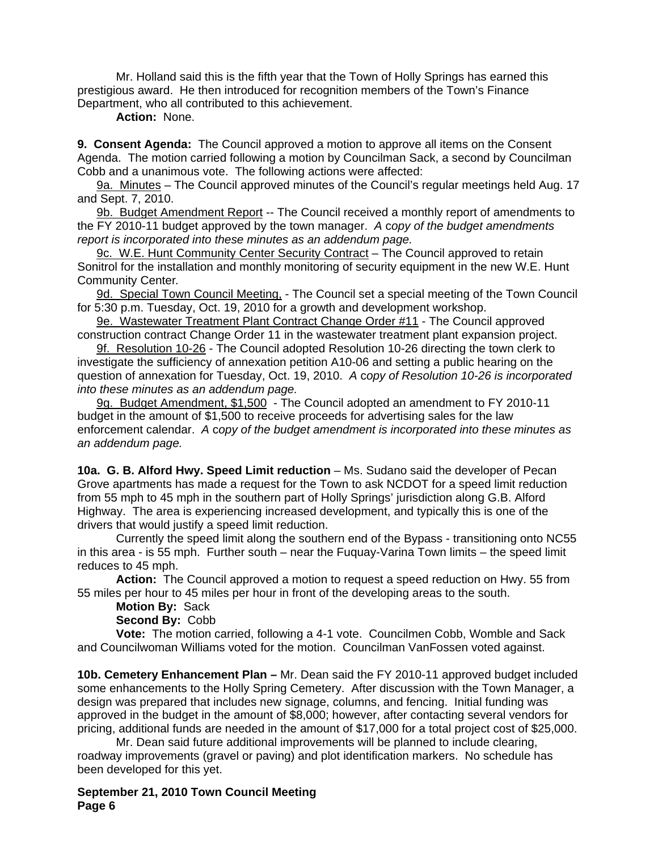Mr. Holland said this is the fifth year that the Town of Holly Springs has earned this prestigious award. He then introduced for recognition members of the Town's Finance Department, who all contributed to this achievement.

**Action:** None.

**9. Consent Agenda:** The Council approved a motion to approve all items on the Consent Agenda. The motion carried following a motion by Councilman Sack, a second by Councilman Cobb and a unanimous vote. The following actions were affected:

9a. Minutes – The Council approved minutes of the Council's regular meetings held Aug. 17 and Sept. 7, 2010.

9b. Budget Amendment Report -- The Council received a monthly report of amendments to the FY 2010-11 budget approved by the town manager. *A* c*opy of the budget amendments report is incorporated into these minutes as an addendum page.*

9c. W.E. Hunt Community Center Security Contract – The Council approved to retain Sonitrol for the installation and monthly monitoring of security equipment in the new W.E. Hunt Community Center*.* 

9d. Special Town Council Meeting. - The Council set a special meeting of the Town Council for 5:30 p.m. Tuesday, Oct. 19, 2010 for a growth and development workshop.

9e. Wastewater Treatment Plant Contract Change Order #11 - The Council approved construction contract Change Order 11 in the wastewater treatment plant expansion project.

9f. Resolution 10-26 - The Council adopted Resolution 10-26 directing the town clerk to investigate the sufficiency of annexation petition A10-06 and setting a public hearing on the question of annexation for Tuesday, Oct. 19, 2010. *A* c*opy of Resolution 10-26 is incorporated into these minutes as an addendum page.*

9g. Budget Amendment, \$1,500 - The Council adopted an amendment to FY 2010-11 budget in the amount of \$1,500 to receive proceeds for advertising sales for the law enforcement calendar. *A* c*opy of the budget amendment is incorporated into these minutes as an addendum page.*

**10a. G. B. Alford Hwy. Speed Limit reduction** – Ms. Sudano said the developer of Pecan Grove apartments has made a request for the Town to ask NCDOT for a speed limit reduction from 55 mph to 45 mph in the southern part of Holly Springs' jurisdiction along G.B. Alford Highway. The area is experiencing increased development, and typically this is one of the drivers that would justify a speed limit reduction.

 Currently the speed limit along the southern end of the Bypass - transitioning onto NC55 in this area - is 55 mph. Further south – near the Fuquay-Varina Town limits – the speed limit reduces to 45 mph.

**Action:** The Council approved a motion to request a speed reduction on Hwy. 55 from 55 miles per hour to 45 miles per hour in front of the developing areas to the south.

**Motion By:** Sack

**Second By:** Cobb

**Vote:** The motion carried, following a 4-1 vote. Councilmen Cobb, Womble and Sack and Councilwoman Williams voted for the motion. Councilman VanFossen voted against.

**10b. Cemetery Enhancement Plan –** Mr. Dean said the FY 2010-11 approved budget included some enhancements to the Holly Spring Cemetery. After discussion with the Town Manager, a design was prepared that includes new signage, columns, and fencing. Initial funding was approved in the budget in the amount of \$8,000; however, after contacting several vendors for pricing, additional funds are needed in the amount of \$17,000 for a total project cost of \$25,000.

 Mr. Dean said future additional improvements will be planned to include clearing, roadway improvements (gravel or paving) and plot identification markers. No schedule has been developed for this yet.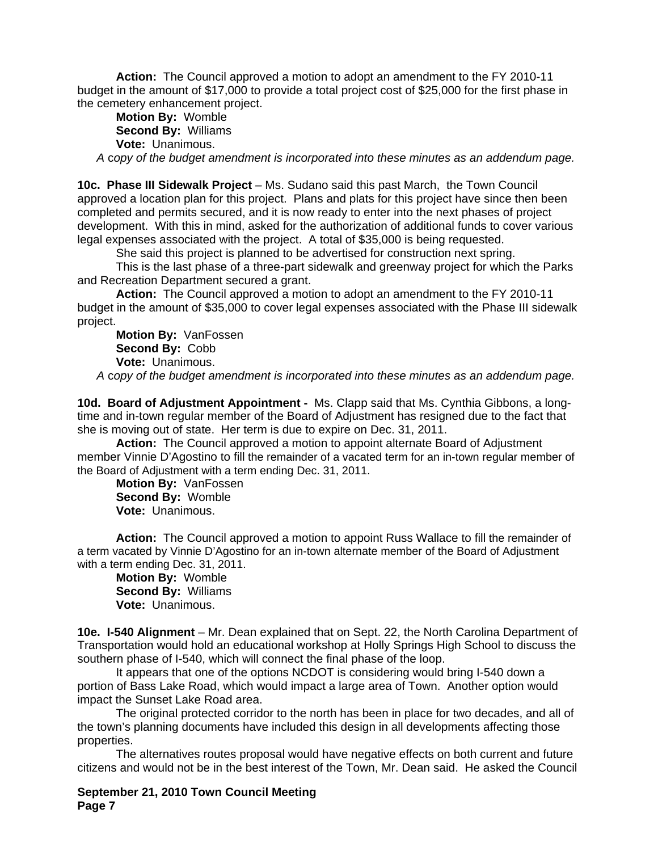**Action:** The Council approved a motion to adopt an amendment to the FY 2010-11 budget in the amount of \$17,000 to provide a total project cost of \$25,000 for the first phase in the cemetery enhancement project.

**Motion By:** Womble **Second By:** Williams **Vote:** Unanimous.

*A* c*opy of the budget amendment is incorporated into these minutes as an addendum page.*

**10c. Phase III Sidewalk Project** *–* Ms. Sudano said this past March, the Town Council approved a location plan for this project. Plans and plats for this project have since then been completed and permits secured, and it is now ready to enter into the next phases of project development. With this in mind, asked for the authorization of additional funds to cover various legal expenses associated with the project. A total of \$35,000 is being requested.

She said this project is planned to be advertised for construction next spring.

 This is the last phase of a three-part sidewalk and greenway project for which the Parks and Recreation Department secured a grant.

**Action:** The Council approved a motion to adopt an amendment to the FY 2010-11 budget in the amount of \$35,000 to cover legal expenses associated with the Phase III sidewalk project.

**Motion By:** VanFossen **Second By:** Cobb **Vote:** Unanimous.

*A* c*opy of the budget amendment is incorporated into these minutes as an addendum page.*

**10d. Board of Adjustment Appointment -** Ms. Clapp said that Ms. Cynthia Gibbons, a longtime and in-town regular member of the Board of Adjustment has resigned due to the fact that she is moving out of state. Her term is due to expire on Dec. 31, 2011.

**Action:** The Council approved a motion to appoint alternate Board of Adjustment member Vinnie D'Agostino to fill the remainder of a vacated term for an in-town regular member of the Board of Adjustment with a term ending Dec. 31, 2011.

**Motion By:** VanFossen **Second By:** Womble **Vote:** Unanimous.

**Action:** The Council approved a motion to appoint Russ Wallace to fill the remainder of a term vacated by Vinnie D'Agostino for an in-town alternate member of the Board of Adjustment with a term ending Dec. 31, 2011.

**Motion By:** Womble **Second By:** Williams **Vote:** Unanimous.

**10e. I-540 Alignment** – Mr. Dean explained that on Sept. 22, the North Carolina Department of Transportation would hold an educational workshop at Holly Springs High School to discuss the southern phase of I-540, which will connect the final phase of the loop.

 It appears that one of the options NCDOT is considering would bring I-540 down a portion of Bass Lake Road, which would impact a large area of Town. Another option would impact the Sunset Lake Road area.

 The original protected corridor to the north has been in place for two decades, and all of the town's planning documents have included this design in all developments affecting those properties.

 The alternatives routes proposal would have negative effects on both current and future citizens and would not be in the best interest of the Town, Mr. Dean said. He asked the Council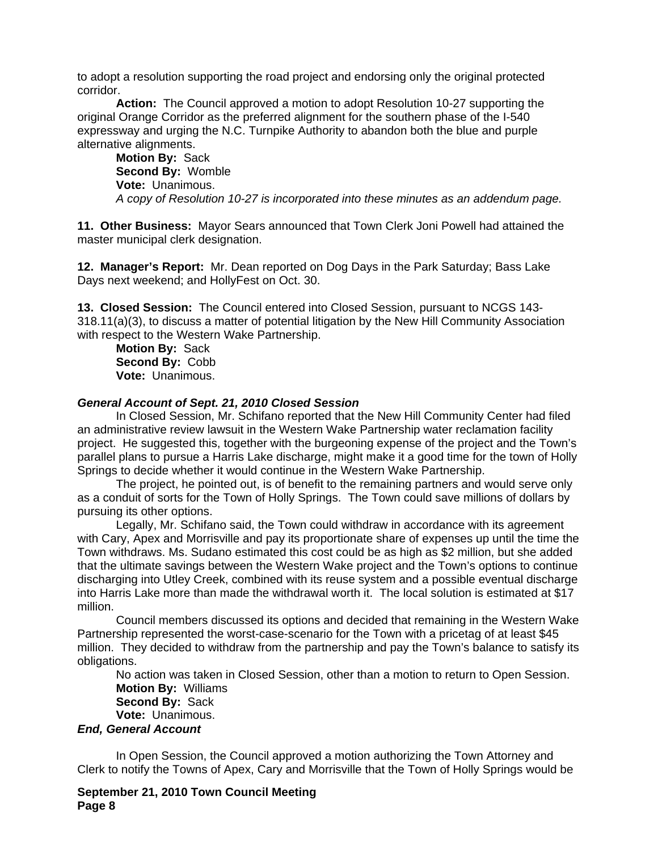to adopt a resolution supporting the road project and endorsing only the original protected corridor.

**Action:** The Council approved a motion to adopt Resolution 10-27 supporting the original Orange Corridor as the preferred alignment for the southern phase of the I-540 expressway and urging the N.C. Turnpike Authority to abandon both the blue and purple alternative alignments.

**Motion By:** Sack **Second By:** Womble **Vote:** Unanimous. *A copy of Resolution 10-27 is incorporated into these minutes as an addendum page.* 

**11. Other Business:** Mayor Sears announced that Town Clerk Joni Powell had attained the master municipal clerk designation.

**12. Manager's Report:** Mr. Dean reported on Dog Days in the Park Saturday; Bass Lake Days next weekend; and HollyFest on Oct. 30.

**13. Closed Session:** The Council entered into Closed Session, pursuant to NCGS 143- 318.11(a)(3), to discuss a matter of potential litigation by the New Hill Community Association with respect to the Western Wake Partnership.

**Motion By:** Sack **Second By:** Cobb **Vote:** Unanimous.

## *General Account of Sept. 21, 2010 Closed Session*

 In Closed Session, Mr. Schifano reported that the New Hill Community Center had filed an administrative review lawsuit in the Western Wake Partnership water reclamation facility project. He suggested this, together with the burgeoning expense of the project and the Town's parallel plans to pursue a Harris Lake discharge, might make it a good time for the town of Holly Springs to decide whether it would continue in the Western Wake Partnership.

 The project, he pointed out, is of benefit to the remaining partners and would serve only as a conduit of sorts for the Town of Holly Springs. The Town could save millions of dollars by pursuing its other options.

 Legally, Mr. Schifano said, the Town could withdraw in accordance with its agreement with Cary, Apex and Morrisville and pay its proportionate share of expenses up until the time the Town withdraws. Ms. Sudano estimated this cost could be as high as \$2 million, but she added that the ultimate savings between the Western Wake project and the Town's options to continue discharging into Utley Creek, combined with its reuse system and a possible eventual discharge into Harris Lake more than made the withdrawal worth it. The local solution is estimated at \$17 million.

 Council members discussed its options and decided that remaining in the Western Wake Partnership represented the worst-case-scenario for the Town with a pricetag of at least \$45 million. They decided to withdraw from the partnership and pay the Town's balance to satisfy its obligations.

 No action was taken in Closed Session, other than a motion to return to Open Session. **Motion By:** Williams

**Second By:** Sack

**Vote:** Unanimous.

## *End, General Account*

 In Open Session, the Council approved a motion authorizing the Town Attorney and Clerk to notify the Towns of Apex, Cary and Morrisville that the Town of Holly Springs would be